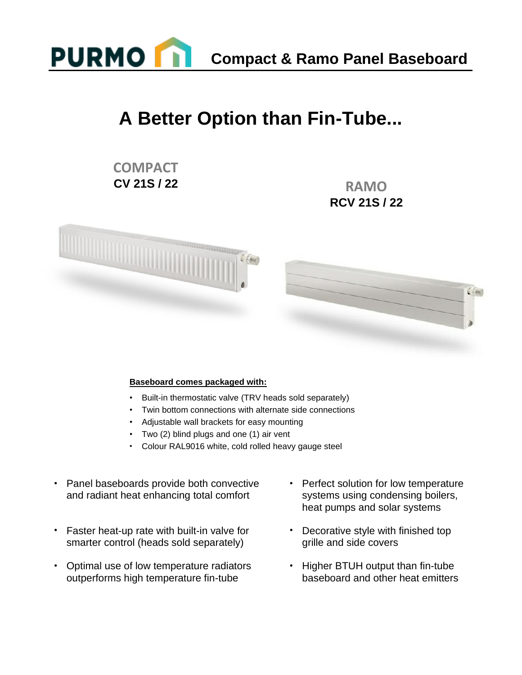

**Compact & Ramo Panel Baseboard** 

## **A Better Option than Fin-Tube...**

### **COMPACT CV 21S / 22 RAMO**

# **RCV 21S / 22**



#### **Baseboard comes packaged with:**

- Built-in thermostatic valve (TRV heads sold separately)
- Twin bottom connections with alternate side connections
- Adjustable wall brackets for easy mounting
- Two (2) blind plugs and one (1) air vent
- Colour RAL9016 white, cold rolled heavy gauge steel
- Panel baseboards provide both convective and radiant heat enhancing total comfort
- Faster heat-up rate with built-in valve for smarter control (heads sold separately)
- Optimal use of low temperature radiators outperforms high temperature fin-tube
- Perfect solution for low temperature systems using condensing boilers, heat pumps and solar systems
- Decorative style with finished top grille and side covers
- Higher BTUH output than fin-tube baseboard and other heat emitters